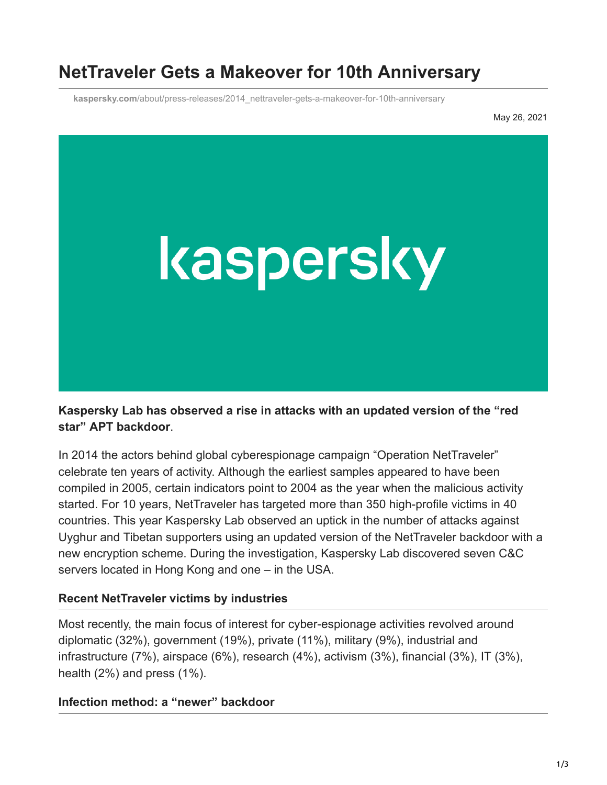# **NetTraveler Gets a Makeover for 10th Anniversary**

**kaspersky.com**[/about/press-releases/2014\\_nettraveler-gets-a-makeover-for-10th-anniversary](https://www.kaspersky.com/about/press-releases/2014_nettraveler-gets-a-makeover-for-10th-anniversary)

May 26, 2021



**Kaspersky Lab has observed a rise in attacks with an updated version of the "red star" APT backdoor**.

In 2014 the actors behind global cyberespionage campaign "Operation NetTraveler" celebrate ten years of activity. Although the earliest samples appeared to have been compiled in 2005, certain indicators point to 2004 as the year when the malicious activity started. For 10 years, NetTraveler has targeted more than 350 high-profile victims in 40 countries. This year Kaspersky Lab observed an uptick in the number of attacks against Uyghur and Tibetan supporters using an updated version of the NetTraveler backdoor with a new encryption scheme. During the investigation, Kaspersky Lab discovered seven C&C servers located in Hong Kong and one – in the USA.

### **Recent NetTraveler victims by industries**

Most recently, the main focus of interest for cyber-espionage activities revolved around diplomatic (32%), government (19%), private (11%), military (9%), industrial and infrastructure (7%), airspace (6%), research (4%), activism (3%), financial (3%), IT (3%), health (2%) and press (1%).

### **Infection method: a "newer" backdoor**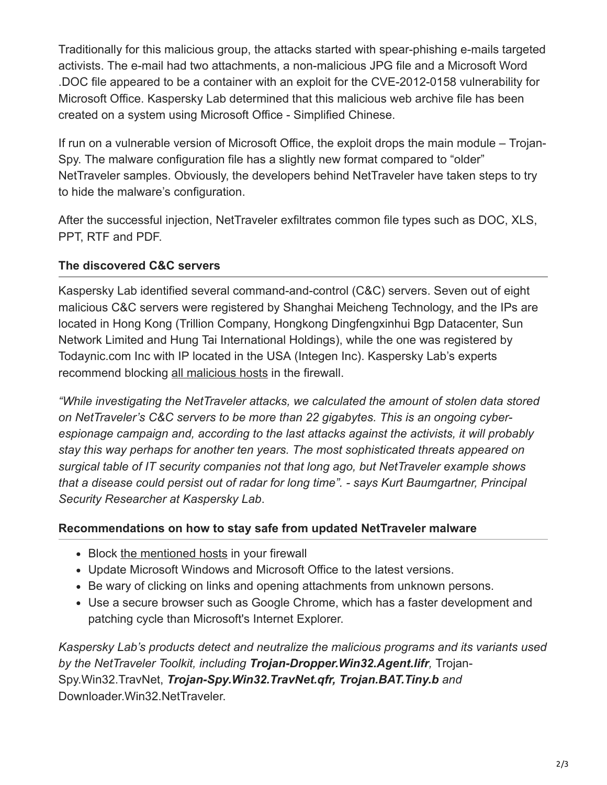Traditionally for this malicious group, the attacks started with spear-phishing e-mails targeted activists. The e-mail had two attachments, a non-malicious JPG file and a Microsoft Word .DOC file appeared to be a container with an exploit for the CVE-2012-0158 vulnerability for Microsoft Office. Kaspersky Lab determined that this malicious web archive file has been created on a system using Microsoft Office - Simplified Chinese.

If run on a vulnerable version of Microsoft Office, the exploit drops the main module – Trojan-Spy. The malware configuration file has a slightly new format compared to "older" NetTraveler samples. Obviously, the developers behind NetTraveler have taken steps to try to hide the malware's configuration.

After the successful injection, NetTraveler exfiltrates common file types such as DOC, XLS, PPT, RTF and PDF.

# **The discovered C&C servers**

Kaspersky Lab identified several command-and-control (C&C) servers. Seven out of eight malicious C&C servers were registered by Shanghai Meicheng Technology, and the IPs are located in Hong Kong (Trillion Company, Hongkong Dingfengxinhui Bgp Datacenter, Sun Network Limited and Hung Tai International Holdings), while the one was registered by Todaynic.com Inc with IP located in the USA (Integen Inc). Kaspersky Lab's experts recommend blocking [all malicious hosts](http://securelist.com/blog/research/66272/nettraveler-apt-gets-a-makeover-for-10th-birthday/) in the firewall.

*"While investigating the NetTraveler attacks, we calculated the amount of stolen data stored on NetTraveler's C&C servers to be more than 22 gigabytes. This is an ongoing cyberespionage campaign and, according to the last attacks against the activists, it will probably stay this way perhaps for another ten years. The most sophisticated threats appeared on surgical table of IT security companies not that long ago, but NetTraveler example shows that a disease could persist out of radar for long time". - says Kurt Baumgartner, Principal Security Researcher at Kaspersky Lab*.

# **Recommendations on how to stay safe from updated NetTraveler malware**

- Block [the mentioned hosts](http://securelist.com/blog/research/66272/nettraveler-apt-gets-a-makeover-for-10th-birthday/) in your firewall
- Update Microsoft Windows and Microsoft Office to the latest versions.
- Be wary of clicking on links and opening attachments from unknown persons.
- Use a secure browser such as Google Chrome, which has a faster development and patching cycle than Microsoft's Internet Explorer.

*Kaspersky Lab's products detect and neutralize the malicious programs and its variants used by the NetTraveler Toolkit, including Trojan-Dropper.Win32.Agent.lifr,* Trojan-Spy.Win32.TravNet, *Trojan-Spy.Win32.TravNet.qfr, Trojan.BAT.Tiny.b and* Downloader.Win32.NetTraveler.